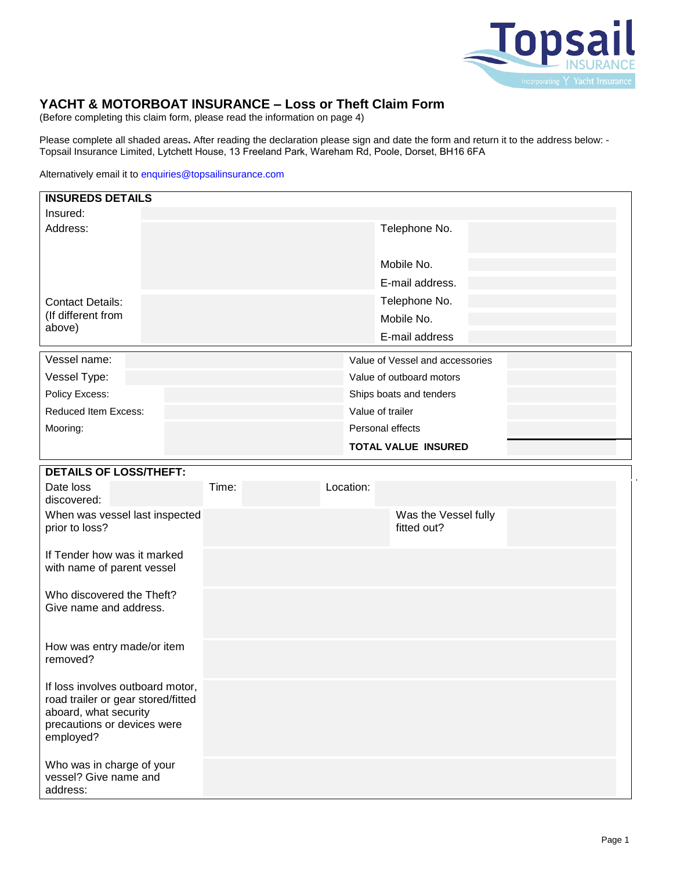

# **YACHT & MOTORBOAT INSURANCE – Loss or Theft Claim Form**

(Before completing this claim form, please read the information on page 4)

Please complete all shaded areas**.** After reading the declaration please sign and date the form and return it to the address below: - Topsail Insurance Limited, Lytchett House, 13 Freeland Park, Wareham Rd, Poole, Dorset, BH16 6FA

Alternatively email it to enquiries@topsailinsurance.com

| <b>INSUREDS DETAILS</b>                                                                                                                     |       |           |                                 |
|---------------------------------------------------------------------------------------------------------------------------------------------|-------|-----------|---------------------------------|
| Insured:                                                                                                                                    |       |           |                                 |
| Address:                                                                                                                                    |       |           | Telephone No.                   |
|                                                                                                                                             |       |           | Mobile No.                      |
|                                                                                                                                             |       |           | E-mail address.                 |
| <b>Contact Details:</b>                                                                                                                     |       |           | Telephone No.                   |
| (If different from                                                                                                                          |       |           | Mobile No.                      |
| above)                                                                                                                                      |       |           | E-mail address                  |
| Vessel name:                                                                                                                                |       |           | Value of Vessel and accessories |
| Vessel Type:                                                                                                                                |       |           | Value of outboard motors        |
| Policy Excess:                                                                                                                              |       |           | Ships boats and tenders         |
| Reduced Item Excess:                                                                                                                        |       |           | Value of trailer                |
| Mooring:                                                                                                                                    |       |           | Personal effects                |
|                                                                                                                                             |       |           | <b>TOTAL VALUE INSURED</b>      |
|                                                                                                                                             |       |           |                                 |
| <b>DETAILS OF LOSS/THEFT:</b>                                                                                                               |       |           |                                 |
| Date loss<br>discovered:                                                                                                                    | Time: | Location: |                                 |
| When was vessel last inspected                                                                                                              |       |           | Was the Vessel fully            |
| prior to loss?                                                                                                                              |       |           | fitted out?                     |
| If Tender how was it marked<br>with name of parent vessel                                                                                   |       |           |                                 |
| Who discovered the Theft?                                                                                                                   |       |           |                                 |
| Give name and address.                                                                                                                      |       |           |                                 |
| How was entry made/or item<br>removed?                                                                                                      |       |           |                                 |
| If loss involves outboard motor,<br>road trailer or gear stored/fitted<br>aboard, what security<br>precautions or devices were<br>employed? |       |           |                                 |
| Who was in charge of your<br>vessel? Give name and<br>address:                                                                              |       |           |                                 |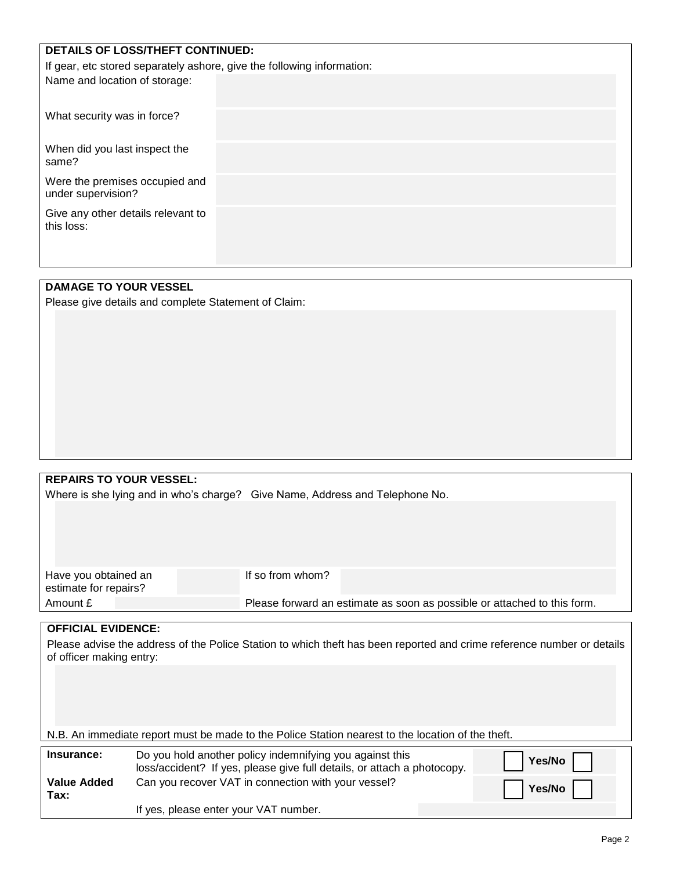| DETAILS OF LOSS/THEFT CONTINUED:                                       |  |
|------------------------------------------------------------------------|--|
| If gear, etc stored separately ashore, give the following information: |  |
| Name and location of storage:                                          |  |
| What security was in force?                                            |  |
| When did you last inspect the<br>same?                                 |  |
| Were the premises occupied and<br>under supervision?                   |  |
| Give any other details relevant to<br>this loss:                       |  |

## **DAMAGE TO YOUR VESSEL**

Please give details and complete Statement of Claim:

### **REPAIRS TO YOUR VESSEL:**

Where is she lying and in who's sherge? Give Name, Address and Telephone No.

|                                               | Where is she lying and in who's charge? Give Name, Address and Telephone No.                                           |                                                                                                   |  |  |  |
|-----------------------------------------------|------------------------------------------------------------------------------------------------------------------------|---------------------------------------------------------------------------------------------------|--|--|--|
|                                               |                                                                                                                        |                                                                                                   |  |  |  |
| Have you obtained an<br>estimate for repairs? |                                                                                                                        | If so from whom?                                                                                  |  |  |  |
| Amount £                                      |                                                                                                                        | Please forward an estimate as soon as possible or attached to this form.                          |  |  |  |
|                                               |                                                                                                                        |                                                                                                   |  |  |  |
| <b>OFFICIAL EVIDENCE:</b>                     |                                                                                                                        |                                                                                                   |  |  |  |
|                                               | Please advise the address of the Police Station to which theft has been reported and crime reference number or details |                                                                                                   |  |  |  |
| of officer making entry:                      |                                                                                                                        |                                                                                                   |  |  |  |
|                                               |                                                                                                                        |                                                                                                   |  |  |  |
|                                               |                                                                                                                        |                                                                                                   |  |  |  |
|                                               |                                                                                                                        |                                                                                                   |  |  |  |
|                                               |                                                                                                                        |                                                                                                   |  |  |  |
|                                               |                                                                                                                        | N.B. An immediate report must be made to the Police Station nearest to the location of the theft. |  |  |  |
| Insurance:                                    |                                                                                                                        | Do you hold another policy indemnifying you against this                                          |  |  |  |
|                                               |                                                                                                                        | Yes/No<br>loss/accident? If yes, please give full details, or attach a photocopy.                 |  |  |  |
| <b>Value Added</b><br>Tax:                    |                                                                                                                        | Can you recover VAT in connection with your vessel?<br>Yes/No                                     |  |  |  |
|                                               | If yes, please enter your VAT number.                                                                                  |                                                                                                   |  |  |  |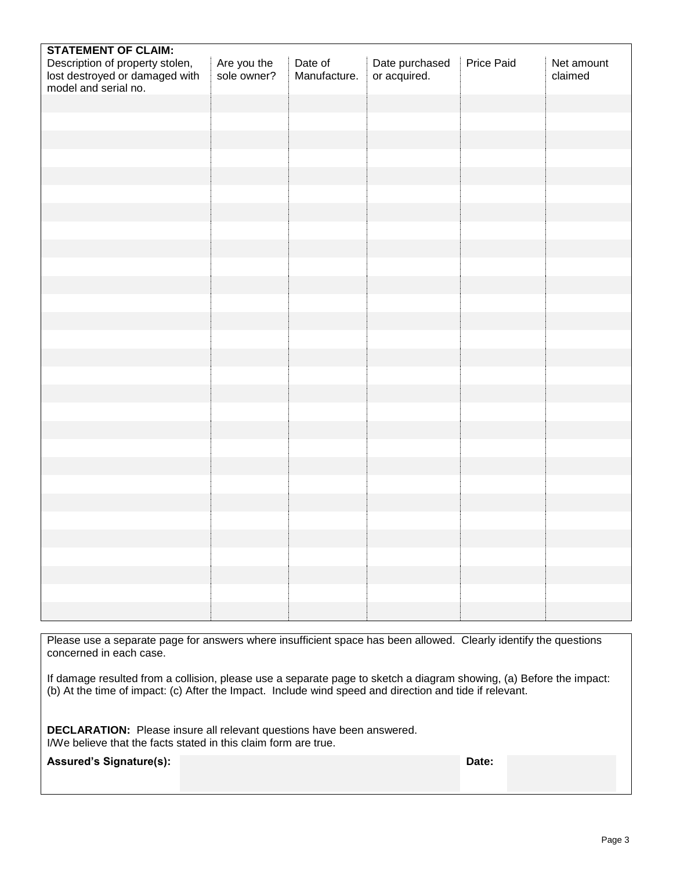| <b>STATEMENT OF CLAIM:</b>                             |                            |                         |                                |            |                       |
|--------------------------------------------------------|----------------------------|-------------------------|--------------------------------|------------|-----------------------|
| Description of property stolen,                        | Are you the<br>sole owner? | Date of<br>Manufacture. | Date purchased<br>or acquired. | Price Paid | Net amount<br>claimed |
| lost destroyed or damaged with<br>model and serial no. |                            |                         |                                |            |                       |
|                                                        |                            |                         |                                |            |                       |
|                                                        |                            |                         |                                |            |                       |
|                                                        |                            |                         |                                |            |                       |
|                                                        |                            |                         |                                |            |                       |
|                                                        |                            |                         |                                |            |                       |
|                                                        |                            |                         |                                |            |                       |
|                                                        |                            |                         |                                |            |                       |
|                                                        |                            |                         |                                |            |                       |
|                                                        |                            |                         |                                |            |                       |
|                                                        |                            |                         |                                |            |                       |
|                                                        |                            |                         |                                |            |                       |
|                                                        |                            |                         |                                |            |                       |
|                                                        |                            |                         |                                |            |                       |
|                                                        |                            |                         |                                |            |                       |
|                                                        |                            |                         |                                |            |                       |
|                                                        |                            |                         |                                |            |                       |
|                                                        |                            |                         |                                |            |                       |
|                                                        |                            |                         |                                |            |                       |
|                                                        |                            |                         |                                |            |                       |
|                                                        |                            |                         |                                |            |                       |
|                                                        |                            |                         |                                |            |                       |
|                                                        |                            |                         |                                |            |                       |
|                                                        |                            |                         |                                |            |                       |
|                                                        |                            |                         |                                |            |                       |
|                                                        |                            |                         |                                |            |                       |
|                                                        |                            |                         |                                |            |                       |
|                                                        |                            |                         |                                |            |                       |
|                                                        |                            |                         |                                |            |                       |
|                                                        |                            |                         |                                |            |                       |
|                                                        |                            |                         |                                |            |                       |
|                                                        |                            |                         |                                |            |                       |
|                                                        |                            |                         |                                |            |                       |

Please use a separate page for answers where insufficient space has been allowed. Clearly identify the questions concerned in each case.

If damage resulted from a collision, please use a separate page to sketch a diagram showing, (a) Before the impact: (b) At the time of impact: (c) After the Impact. Include wind speed and direction and tide if relevant.

**DECLARATION:** Please insure all relevant questions have been answered. I/We believe that the facts stated in this claim form are true.

| <b>Assured's Signature(s):</b> | <b>Date:</b> |
|--------------------------------|--------------|
|--------------------------------|--------------|